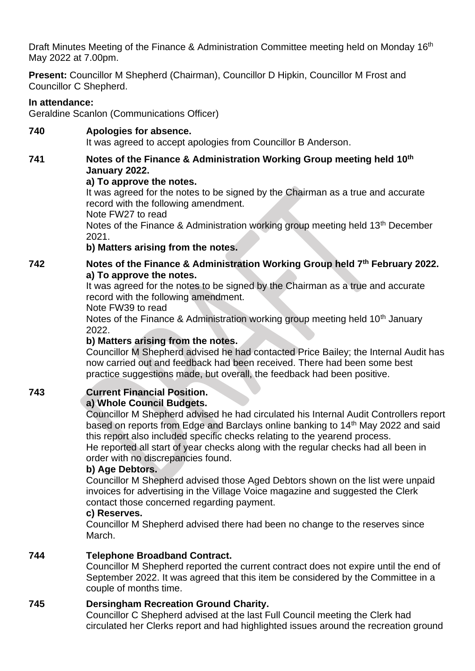Draft Minutes Meeting of the Finance & Administration Committee meeting held on Monday 16<sup>th</sup> May 2022 at 7.00pm.

**Present:** Councillor M Shepherd (Chairman), Councillor D Hipkin, Councillor M Frost and Councillor C Shepherd.

### **In attendance:**

Geraldine Scanlon (Communications Officer)

**740 Apologies for absence.** It was agreed to accept apologies from Councillor B Anderson.

**741 Notes of the Finance & Administration Working Group meeting held 10th January 2022.**

#### **a) To approve the notes.**

It was agreed for the notes to be signed by the Chairman as a true and accurate record with the following amendment.

Note FW27 to read

Notes of the Finance & Administration working group meeting held 13th December 2021.

### **b) Matters arising from the notes.**

**742 Notes of the Finance & Administration Working Group held 7th February 2022. a) To approve the notes.**

It was agreed for the notes to be signed by the Chairman as a true and accurate record with the following amendment.

Note FW39 to read

Notes of the Finance & Administration working group meeting held 10<sup>th</sup> January 2022.

#### **b) Matters arising from the notes.**

Councillor M Shepherd advised he had contacted Price Bailey; the Internal Audit has now carried out and feedback had been received. There had been some best practice suggestions made, but overall, the feedback had been positive.

# **743 Current Financial Position.**

# **a) Whole Council Budgets.**

Councillor M Shepherd advised he had circulated his Internal Audit Controllers report based on reports from Edge and Barclays online banking to 14<sup>th</sup> May 2022 and said this report also included specific checks relating to the yearend process.

He reported all start of year checks along with the regular checks had all been in order with no discrepancies found.

#### **b) Age Debtors.**

Councillor M Shepherd advised those Aged Debtors shown on the list were unpaid invoices for advertising in the Village Voice magazine and suggested the Clerk contact those concerned regarding payment.

#### **c) Reserves.**

Councillor M Shepherd advised there had been no change to the reserves since March.

# **744 Telephone Broadband Contract.**

Councillor M Shepherd reported the current contract does not expire until the end of September 2022. It was agreed that this item be considered by the Committee in a couple of months time.

#### **745 Dersingham Recreation Ground Charity.**

Councillor C Shepherd advised at the last Full Council meeting the Clerk had circulated her Clerks report and had highlighted issues around the recreation ground